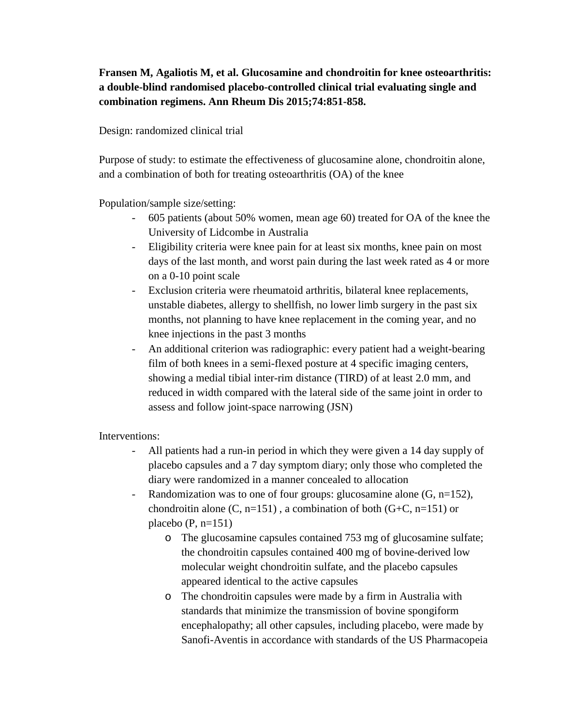## **Fransen M, Agaliotis M, et al. Glucosamine and chondroitin for knee osteoarthritis: a double-blind randomised placebo-controlled clinical trial evaluating single and combination regimens. Ann Rheum Dis 2015;74:851-858.**

## Design: randomized clinical trial

Purpose of study: to estimate the effectiveness of glucosamine alone, chondroitin alone, and a combination of both for treating osteoarthritis (OA) of the knee

Population/sample size/setting:

- 605 patients (about 50% women, mean age 60) treated for OA of the knee the University of Lidcombe in Australia
- Eligibility criteria were knee pain for at least six months, knee pain on most days of the last month, and worst pain during the last week rated as 4 or more on a 0-10 point scale
- Exclusion criteria were rheumatoid arthritis, bilateral knee replacements, unstable diabetes, allergy to shellfish, no lower limb surgery in the past six months, not planning to have knee replacement in the coming year, and no knee injections in the past 3 months
- An additional criterion was radiographic: every patient had a weight-bearing film of both knees in a semi-flexed posture at 4 specific imaging centers, showing a medial tibial inter-rim distance (TIRD) of at least 2.0 mm, and reduced in width compared with the lateral side of the same joint in order to assess and follow joint-space narrowing (JSN)

## Interventions:

- All patients had a run-in period in which they were given a 14 day supply of placebo capsules and a 7 day symptom diary; only those who completed the diary were randomized in a manner concealed to allocation
- Randomization was to one of four groups: glucosamine alone  $(G, n=152)$ , chondroitin alone  $(C, n=151)$ , a combination of both  $(G+C, n=151)$  or placebo  $(P, n=151)$ 
	- o The glucosamine capsules contained 753 mg of glucosamine sulfate; the chondroitin capsules contained 400 mg of bovine-derived low molecular weight chondroitin sulfate, and the placebo capsules appeared identical to the active capsules
	- o The chondroitin capsules were made by a firm in Australia with standards that minimize the transmission of bovine spongiform encephalopathy; all other capsules, including placebo, were made by Sanofi-Aventis in accordance with standards of the US Pharmacopeia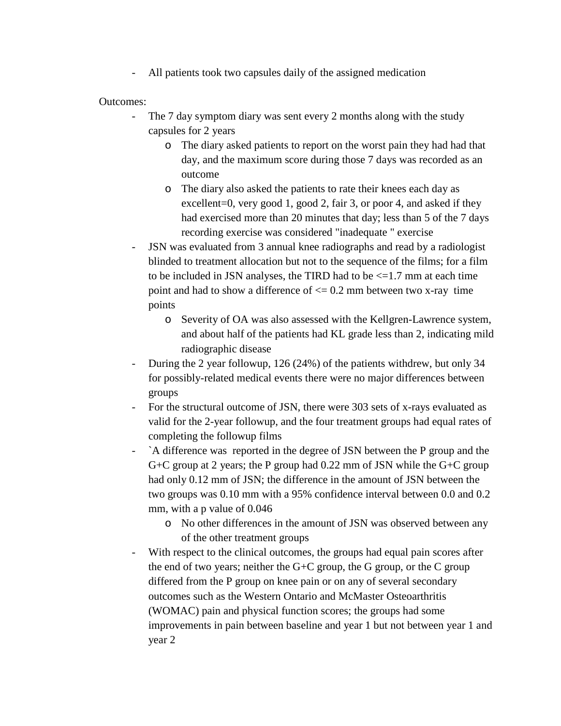All patients took two capsules daily of the assigned medication

Outcomes:

- The 7 day symptom diary was sent every 2 months along with the study capsules for 2 years
	- o The diary asked patients to report on the worst pain they had had that day, and the maximum score during those 7 days was recorded as an outcome
	- o The diary also asked the patients to rate their knees each day as excellent=0, very good 1, good 2, fair 3, or poor 4, and asked if they had exercised more than 20 minutes that day; less than 5 of the 7 days recording exercise was considered "inadequate " exercise
- JSN was evaluated from 3 annual knee radiographs and read by a radiologist blinded to treatment allocation but not to the sequence of the films; for a film to be included in JSN analyses, the TIRD had to be  $\leq$  1.7 mm at each time point and had to show a difference of  $\leq$  0.2 mm between two x-ray time points
	- o Severity of OA was also assessed with the Kellgren-Lawrence system, and about half of the patients had KL grade less than 2, indicating mild radiographic disease
- During the 2 year followup, 126 (24%) of the patients withdrew, but only 34 for possibly-related medical events there were no major differences between groups
- For the structural outcome of JSN, there were 303 sets of x-rays evaluated as valid for the 2-year followup, and the four treatment groups had equal rates of completing the followup films
- `A difference was reported in the degree of JSN between the P group and the G+C group at 2 years; the P group had 0.22 mm of JSN while the G+C group had only 0.12 mm of JSN; the difference in the amount of JSN between the two groups was 0.10 mm with a 95% confidence interval between 0.0 and 0.2 mm, with a p value of 0.046
	- o No other differences in the amount of JSN was observed between any of the other treatment groups
- With respect to the clinical outcomes, the groups had equal pain scores after the end of two years; neither the  $G+C$  group, the  $G$  group, or the  $C$  group differed from the P group on knee pain or on any of several secondary outcomes such as the Western Ontario and McMaster Osteoarthritis (WOMAC) pain and physical function scores; the groups had some improvements in pain between baseline and year 1 but not between year 1 and year 2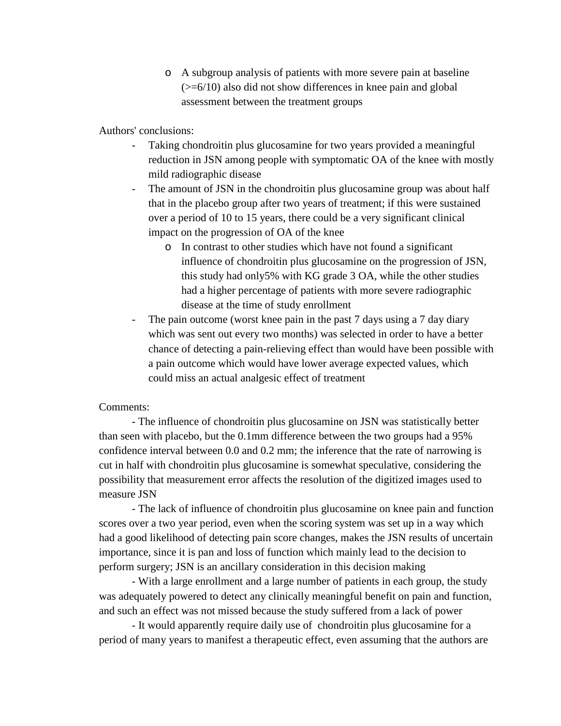o A subgroup analysis of patients with more severe pain at baseline  $(\geq=6/10)$  also did not show differences in knee pain and global assessment between the treatment groups

Authors' conclusions:

- Taking chondroitin plus glucosamine for two years provided a meaningful reduction in JSN among people with symptomatic OA of the knee with mostly mild radiographic disease
- The amount of JSN in the chondroitin plus glucosamine group was about half that in the placebo group after two years of treatment; if this were sustained over a period of 10 to 15 years, there could be a very significant clinical impact on the progression of OA of the knee
	- o In contrast to other studies which have not found a significant influence of chondroitin plus glucosamine on the progression of JSN, this study had only5% with KG grade 3 OA, while the other studies had a higher percentage of patients with more severe radiographic disease at the time of study enrollment
- The pain outcome (worst knee pain in the past 7 days using a 7 day diary which was sent out every two months) was selected in order to have a better chance of detecting a pain-relieving effect than would have been possible with a pain outcome which would have lower average expected values, which could miss an actual analgesic effect of treatment

## Comments:

- The influence of chondroitin plus glucosamine on JSN was statistically better than seen with placebo, but the 0.1mm difference between the two groups had a 95% confidence interval between 0.0 and 0.2 mm; the inference that the rate of narrowing is cut in half with chondroitin plus glucosamine is somewhat speculative, considering the possibility that measurement error affects the resolution of the digitized images used to measure JSN

- The lack of influence of chondroitin plus glucosamine on knee pain and function scores over a two year period, even when the scoring system was set up in a way which had a good likelihood of detecting pain score changes, makes the JSN results of uncertain importance, since it is pan and loss of function which mainly lead to the decision to perform surgery; JSN is an ancillary consideration in this decision making

- With a large enrollment and a large number of patients in each group, the study was adequately powered to detect any clinically meaningful benefit on pain and function, and such an effect was not missed because the study suffered from a lack of power

- It would apparently require daily use of chondroitin plus glucosamine for a period of many years to manifest a therapeutic effect, even assuming that the authors are